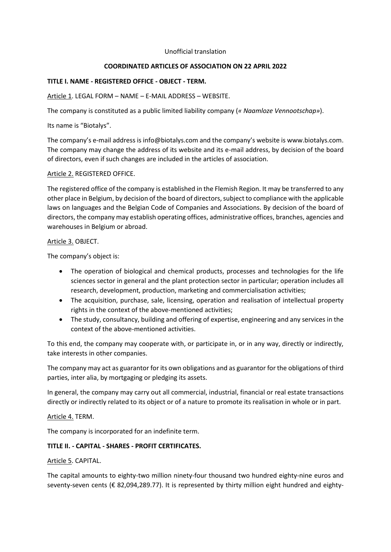#### Unofficial translation

## **COORDINATED ARTICLES OF ASSOCIATION ON 22 APRIL 2022**

## **TITLE I. NAME - REGISTERED OFFICE - OBJECT - TERM.**

## Article 1. LEGAL FORM – NAME – E-MAIL ADDRESS – WEBSITE.

The company is constituted as a public limited liability company (*« Naamloze Vennootschap»*).

Its name is "Biotalys".

The company's e-mail address is info@biotalys.com and the company's website is www.biotalys.com. The company may change the address of its website and its e-mail address, by decision of the board of directors, even if such changes are included in the articles of association.

# Article 2. REGISTERED OFFICE.

The registered office of the company is established in the Flemish Region. It may be transferred to any other place in Belgium, by decision of the board of directors, subject to compliance with the applicable laws on languages and the Belgian Code of Companies and Associations. By decision of the board of directors, the company may establish operating offices, administrative offices, branches, agencies and warehouses in Belgium or abroad.

### Article 3. OBJECT.

The company's object is:

- The operation of biological and chemical products, processes and technologies for the life sciences sector in general and the plant protection sector in particular; operation includes all research, development, production, marketing and commercialisation activities;
- The acquisition, purchase, sale, licensing, operation and realisation of intellectual property rights in the context of the above-mentioned activities;
- The study, consultancy, building and offering of expertise, engineering and any services in the context of the above-mentioned activities.

To this end, the company may cooperate with, or participate in, or in any way, directly or indirectly, take interests in other companies.

The company may act as guarantor for its own obligations and as guarantor for the obligations of third parties, inter alia, by mortgaging or pledging its assets.

In general, the company may carry out all commercial, industrial, financial or real estate transactions directly or indirectly related to its object or of a nature to promote its realisation in whole or in part.

### Article 4. TERM.

The company is incorporated for an indefinite term.

# **TITLE II. - CAPITAL - SHARES - PROFIT CERTIFICATES.**

Article 5. CAPITAL.

The capital amounts to eighty-two million ninety-four thousand two hundred eighty-nine euros and seventy-seven cents (€ 82,094,289.77). It is represented by thirty million eight hundred and eighty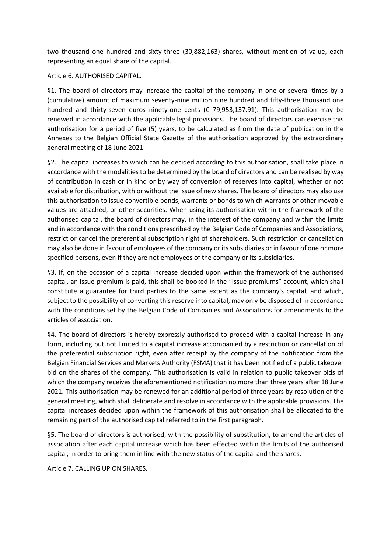two thousand one hundred and sixty-three (30,882,163) shares, without mention of value, each representing an equal share of the capital.

## Article 6. AUTHORISED CAPITAL.

§1. The board of directors may increase the capital of the company in one or several times by a (cumulative) amount of maximum seventy-nine million nine hundred and fifty-three thousand one hundred and thirty-seven euros ninety-one cents (€ 79,953,137.91). This authorisation may be renewed in accordance with the applicable legal provisions. The board of directors can exercise this authorisation for a period of five (5) years, to be calculated as from the date of publication in the Annexes to the Belgian Official State Gazette of the authorisation approved by the extraordinary general meeting of 18 June 2021.

§2. The capital increases to which can be decided according to this authorisation, shall take place in accordance with the modalities to be determined by the board of directors and can be realised by way of contribution in cash or in kind or by way of conversion of reserves into capital, whether or not available for distribution, with or without the issue of new shares. The board of directors may also use this authorisation to issue convertible bonds, warrants or bonds to which warrants or other movable values are attached, or other securities. When using its authorisation within the framework of the authorised capital, the board of directors may, in the interest of the company and within the limits and in accordance with the conditions prescribed by the Belgian Code of Companies and Associations, restrict or cancel the preferential subscription right of shareholders. Such restriction or cancellation may also be done in favour of employees of the company or its subsidiaries or in favour of one or more specified persons, even if they are not employees of the company or its subsidiaries.

§3. If, on the occasion of a capital increase decided upon within the framework of the authorised capital, an issue premium is paid, this shall be booked in the "Issue premiums" account, which shall constitute a guarantee for third parties to the same extent as the company's capital, and which, subject to the possibility of converting this reserve into capital, may only be disposed of in accordance with the conditions set by the Belgian Code of Companies and Associations for amendments to the articles of association.

§4. The board of directors is hereby expressly authorised to proceed with a capital increase in any form, including but not limited to a capital increase accompanied by a restriction or cancellation of the preferential subscription right, even after receipt by the company of the notification from the Belgian Financial Services and Markets Authority (FSMA) that it has been notified of a public takeover bid on the shares of the company. This authorisation is valid in relation to public takeover bids of which the company receives the aforementioned notification no more than three years after 18 June 2021. This authorisation may be renewed for an additional period of three years by resolution of the general meeting, which shall deliberate and resolve in accordance with the applicable provisions. The capital increases decided upon within the framework of this authorisation shall be allocated to the remaining part of the authorised capital referred to in the first paragraph.

§5. The board of directors is authorised, with the possibility of substitution, to amend the articles of association after each capital increase which has been effected within the limits of the authorised capital, in order to bring them in line with the new status of the capital and the shares.

Article 7. CALLING UP ON SHARES.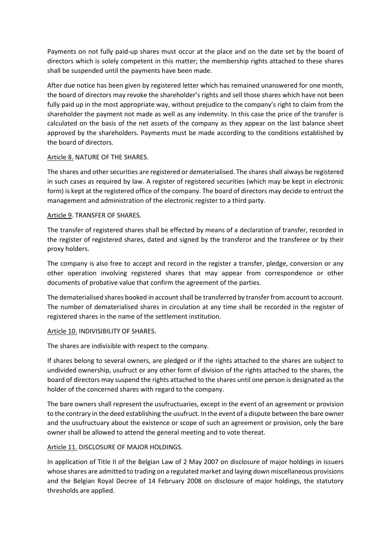Payments on not fully paid-up shares must occur at the place and on the date set by the board of directors which is solely competent in this matter; the membership rights attached to these shares shall be suspended until the payments have been made.

After due notice has been given by registered letter which has remained unanswered for one month, the board of directors may revoke the shareholder's rights and sell those shares which have not been fully paid up in the most appropriate way, without prejudice to the company's right to claim from the shareholder the payment not made as well as any indemnity. In this case the price of the transfer is calculated on the basis of the net assets of the company as they appear on the last balance sheet approved by the shareholders. Payments must be made according to the conditions established by the board of directors.

### Article 8. NATURE OF THE SHARES.

The shares and other securities are registered or dematerialised. The shares shall always be registered in such cases as required by law. A register of registered securities (which may be kept in electronic form) is kept at the registered office of the company. The board of directors may decide to entrust the management and administration of the electronic register to a third party.

# Article 9. TRANSFER OF SHARES.

The transfer of registered shares shall be effected by means of a declaration of transfer, recorded in the register of registered shares, dated and signed by the transferor and the transferee or by their proxy holders.

The company is also free to accept and record in the register a transfer, pledge, conversion or any other operation involving registered shares that may appear from correspondence or other documents of probative value that confirm the agreement of the parties.

The dematerialised shares booked in account shall be transferred by transfer from account to account. The number of dematerialised shares in circulation at any time shall be recorded in the register of registered shares in the name of the settlement institution.

# Article 10. INDIVISIBILITY OF SHARES.

The shares are indivisible with respect to the company.

If shares belong to several owners, are pledged or if the rights attached to the shares are subject to undivided ownership, usufruct or any other form of division of the rights attached to the shares, the board of directors may suspend the rights attached to the shares until one person is designated as the holder of the concerned shares with regard to the company.

The bare owners shall represent the usufructuaries, except in the event of an agreement or provision to the contrary in the deed establishing the usufruct. In the event of a dispute between the bare owner and the usufructuary about the existence or scope of such an agreement or provision, only the bare owner shall be allowed to attend the general meeting and to vote thereat.

# Article 11. DISCLOSURE OF MAJOR HOLDINGS.

In application of Title II of the Belgian Law of 2 May 2007 on disclosure of major holdings in issuers whose shares are admitted to trading on a regulated market and laying down miscellaneous provisions and the Belgian Royal Decree of 14 February 2008 on disclosure of major holdings, the statutory thresholds are applied.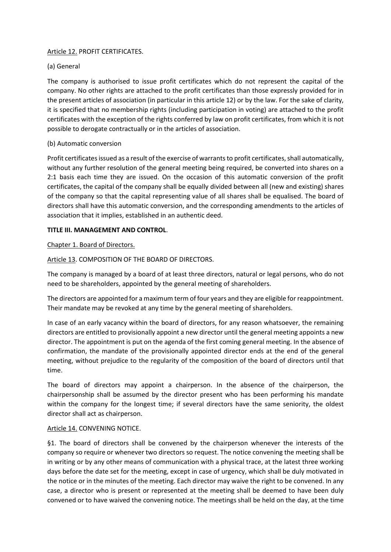# Article 12. PROFIT CERTIFICATES.

# (a) General

The company is authorised to issue profit certificates which do not represent the capital of the company. No other rights are attached to the profit certificates than those expressly provided for in the present articles of association (in particular in this article 12) or by the law. For the sake of clarity, it is specified that no membership rights (including participation in voting) are attached to the profit certificates with the exception of the rights conferred by law on profit certificates, from which it is not possible to derogate contractually or in the articles of association.

# (b) Automatic conversion

Profit certificates issued as a result of the exercise of warrants to profit certificates, shall automatically, without any further resolution of the general meeting being required, be converted into shares on a 2:1 basis each time they are issued. On the occasion of this automatic conversion of the profit certificates, the capital of the company shall be equally divided between all (new and existing) shares of the company so that the capital representing value of all shares shall be equalised. The board of directors shall have this automatic conversion, and the corresponding amendments to the articles of association that it implies, established in an authentic deed.

# **TITLE III. MANAGEMENT AND CONTROL**.

# Chapter 1. Board of Directors.

# Article 13. COMPOSITION OF THE BOARD OF DIRECTORS.

The company is managed by a board of at least three directors, natural or legal persons, who do not need to be shareholders, appointed by the general meeting of shareholders.

The directors are appointed for a maximum term of four years and they are eligible for reappointment. Their mandate may be revoked at any time by the general meeting of shareholders.

In case of an early vacancy within the board of directors, for any reason whatsoever, the remaining directors are entitled to provisionally appoint a new director until the general meeting appoints a new director. The appointment is put on the agenda of the first coming general meeting. In the absence of confirmation, the mandate of the provisionally appointed director ends at the end of the general meeting, without prejudice to the regularity of the composition of the board of directors until that time.

The board of directors may appoint a chairperson. In the absence of the chairperson, the chairpersonship shall be assumed by the director present who has been performing his mandate within the company for the longest time; if several directors have the same seniority, the oldest director shall act as chairperson.

### Article 14. CONVENING NOTICE.

§1. The board of directors shall be convened by the chairperson whenever the interests of the company so require or whenever two directors so request. The notice convening the meeting shall be in writing or by any other means of communication with a physical trace, at the latest three working days before the date set for the meeting, except in case of urgency, which shall be duly motivated in the notice or in the minutes of the meeting. Each director may waive the right to be convened. In any case, a director who is present or represented at the meeting shall be deemed to have been duly convened or to have waived the convening notice. The meetings shall be held on the day, at the time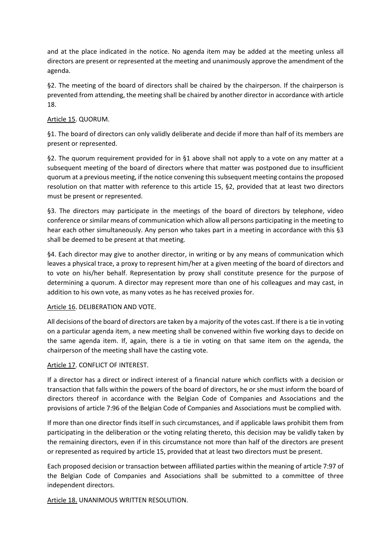and at the place indicated in the notice. No agenda item may be added at the meeting unless all directors are present or represented at the meeting and unanimously approve the amendment of the agenda.

§2. The meeting of the board of directors shall be chaired by the chairperson. If the chairperson is prevented from attending, the meeting shall be chaired by another director in accordance with article 18.

# Article 15. QUORUM.

§1. The board of directors can only validly deliberate and decide if more than half of its members are present or represented.

§2. The quorum requirement provided for in §1 above shall not apply to a vote on any matter at a subsequent meeting of the board of directors where that matter was postponed due to insufficient quorum at a previous meeting, if the notice convening this subsequent meeting contains the proposed resolution on that matter with reference to this article 15, §2, provided that at least two directors must be present or represented.

§3. The directors may participate in the meetings of the board of directors by telephone, video conference or similar means of communication which allow all persons participating in the meeting to hear each other simultaneously. Any person who takes part in a meeting in accordance with this §3 shall be deemed to be present at that meeting.

§4. Each director may give to another director, in writing or by any means of communication which leaves a physical trace, a proxy to represent him/her at a given meeting of the board of directors and to vote on his/her behalf. Representation by proxy shall constitute presence for the purpose of determining a quorum. A director may represent more than one of his colleagues and may cast, in addition to his own vote, as many votes as he has received proxies for.

### Article 16. DELIBERATION AND VOTE.

All decisions of the board of directors are taken by a majority of the votes cast. If there is a tie in voting on a particular agenda item, a new meeting shall be convened within five working days to decide on the same agenda item. If, again, there is a tie in voting on that same item on the agenda, the chairperson of the meeting shall have the casting vote.

# Article 17. CONFLICT OF INTEREST.

If a director has a direct or indirect interest of a financial nature which conflicts with a decision or transaction that falls within the powers of the board of directors, he or she must inform the board of directors thereof in accordance with the Belgian Code of Companies and Associations and the provisions of article 7:96 of the Belgian Code of Companies and Associations must be complied with.

If more than one director finds itself in such circumstances, and if applicable laws prohibit them from participating in the deliberation or the voting relating thereto, this decision may be validly taken by the remaining directors, even if in this circumstance not more than half of the directors are present or represented as required by article 15, provided that at least two directors must be present.

Each proposed decision or transaction between affiliated parties within the meaning of article 7:97 of the Belgian Code of Companies and Associations shall be submitted to a committee of three independent directors.

Article 18. UNANIMOUS WRITTEN RESOLUTION.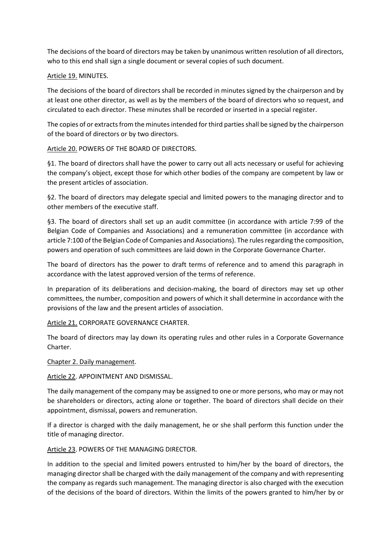The decisions of the board of directors may be taken by unanimous written resolution of all directors, who to this end shall sign a single document or several copies of such document.

## Article 19. MINUTES.

The decisions of the board of directors shall be recorded in minutes signed by the chairperson and by at least one other director, as well as by the members of the board of directors who so request, and circulated to each director. These minutes shall be recorded or inserted in a special register.

The copies of or extracts from the minutes intended for third parties shall be signed by the chairperson of the board of directors or by two directors.

# Article 20. POWERS OF THE BOARD OF DIRECTORS.

§1. The board of directors shall have the power to carry out all acts necessary or useful for achieving the company's object, except those for which other bodies of the company are competent by law or the present articles of association.

§2. The board of directors may delegate special and limited powers to the managing director and to other members of the executive staff.

§3. The board of directors shall set up an audit committee (in accordance with article 7:99 of the Belgian Code of Companies and Associations) and a remuneration committee (in accordance with article 7:100 of the Belgian Code of Companies and Associations). The rules regarding the composition, powers and operation of such committees are laid down in the Corporate Governance Charter.

The board of directors has the power to draft terms of reference and to amend this paragraph in accordance with the latest approved version of the terms of reference.

In preparation of its deliberations and decision-making, the board of directors may set up other committees, the number, composition and powers of which it shall determine in accordance with the provisions of the law and the present articles of association.

Article 21. CORPORATE GOVERNANCE CHARTER.

The board of directors may lay down its operating rules and other rules in a Corporate Governance Charter.

Chapter 2. Daily management.

Article 22. APPOINTMENT AND DISMISSAL.

The daily management of the company may be assigned to one or more persons, who may or may not be shareholders or directors, acting alone or together. The board of directors shall decide on their appointment, dismissal, powers and remuneration.

If a director is charged with the daily management, he or she shall perform this function under the title of managing director.

Article 23. POWERS OF THE MANAGING DIRECTOR.

In addition to the special and limited powers entrusted to him/her by the board of directors, the managing director shall be charged with the daily management of the company and with representing the company as regards such management. The managing director is also charged with the execution of the decisions of the board of directors. Within the limits of the powers granted to him/her by or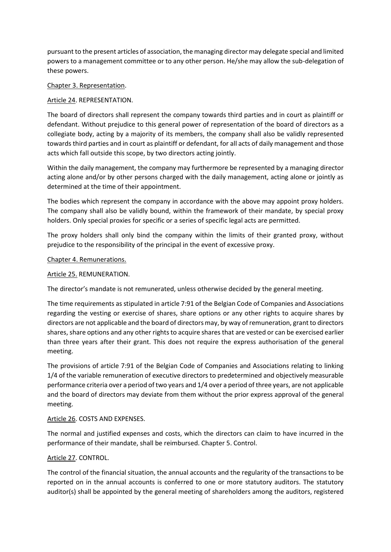pursuant to the present articles of association, the managing director may delegate special and limited powers to a management committee or to any other person. He/she may allow the sub-delegation of these powers.

## Chapter 3. Representation.

# Article 24. REPRESENTATION.

The board of directors shall represent the company towards third parties and in court as plaintiff or defendant. Without prejudice to this general power of representation of the board of directors as a collegiate body, acting by a majority of its members, the company shall also be validly represented towards third parties and in court as plaintiff or defendant, for all acts of daily management and those acts which fall outside this scope, by two directors acting jointly.

Within the daily management, the company may furthermore be represented by a managing director acting alone and/or by other persons charged with the daily management, acting alone or jointly as determined at the time of their appointment.

The bodies which represent the company in accordance with the above may appoint proxy holders. The company shall also be validly bound, within the framework of their mandate, by special proxy holders. Only special proxies for specific or a series of specific legal acts are permitted.

The proxy holders shall only bind the company within the limits of their granted proxy, without prejudice to the responsibility of the principal in the event of excessive proxy.

### Chapter 4. Remunerations.

## Article 25. REMUNERATION.

The director's mandate is not remunerated, unless otherwise decided by the general meeting.

The time requirements as stipulated in article 7:91 of the Belgian Code of Companies and Associations regarding the vesting or exercise of shares, share options or any other rights to acquire shares by directors are not applicable and the board of directors may, by way of remuneration, grant to directors shares, share options and any other rights to acquire shares that are vested or can be exercised earlier than three years after their grant. This does not require the express authorisation of the general meeting.

The provisions of article 7:91 of the Belgian Code of Companies and Associations relating to linking 1/4 of the variable remuneration of executive directors to predetermined and objectively measurable performance criteria over a period of two years and 1/4 over a period of three years, are not applicable and the board of directors may deviate from them without the prior express approval of the general meeting.

### Article 26. COSTS AND EXPENSES.

The normal and justified expenses and costs, which the directors can claim to have incurred in the performance of their mandate, shall be reimbursed. Chapter 5. Control.

# Article 27. CONTROL.

The control of the financial situation, the annual accounts and the regularity of the transactions to be reported on in the annual accounts is conferred to one or more statutory auditors. The statutory auditor(s) shall be appointed by the general meeting of shareholders among the auditors, registered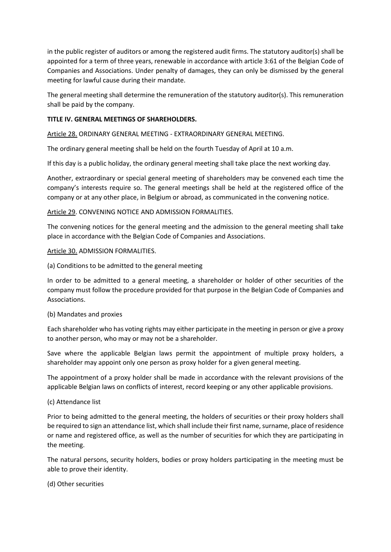in the public register of auditors or among the registered audit firms. The statutory auditor(s) shall be appointed for a term of three years, renewable in accordance with article 3:61 of the Belgian Code of Companies and Associations. Under penalty of damages, they can only be dismissed by the general meeting for lawful cause during their mandate.

The general meeting shall determine the remuneration of the statutory auditor(s). This remuneration shall be paid by the company.

## **TITLE IV. GENERAL MEETINGS OF SHAREHOLDERS.**

Article 28. ORDINARY GENERAL MEETING - EXTRAORDINARY GENERAL MEETING.

The ordinary general meeting shall be held on the fourth Tuesday of April at 10 a.m.

If this day is a public holiday, the ordinary general meeting shall take place the next working day.

Another, extraordinary or special general meeting of shareholders may be convened each time the company's interests require so. The general meetings shall be held at the registered office of the company or at any other place, in Belgium or abroad, as communicated in the convening notice.

# Article 29. CONVENING NOTICE AND ADMISSION FORMALITIES.

The convening notices for the general meeting and the admission to the general meeting shall take place in accordance with the Belgian Code of Companies and Associations.

### Article 30. ADMISSION FORMALITIES.

(a) Conditions to be admitted to the general meeting

In order to be admitted to a general meeting, a shareholder or holder of other securities of the company must follow the procedure provided for that purpose in the Belgian Code of Companies and Associations.

### (b) Mandates and proxies

Each shareholder who has voting rights may either participate in the meeting in person or give a proxy to another person, who may or may not be a shareholder.

Save where the applicable Belgian laws permit the appointment of multiple proxy holders, a shareholder may appoint only one person as proxy holder for a given general meeting.

The appointment of a proxy holder shall be made in accordance with the relevant provisions of the applicable Belgian laws on conflicts of interest, record keeping or any other applicable provisions.

# (c) Attendance list

Prior to being admitted to the general meeting, the holders of securities or their proxy holders shall be required to sign an attendance list, which shall include their first name, surname, place of residence or name and registered office, as well as the number of securities for which they are participating in the meeting.

The natural persons, security holders, bodies or proxy holders participating in the meeting must be able to prove their identity.

(d) Other securities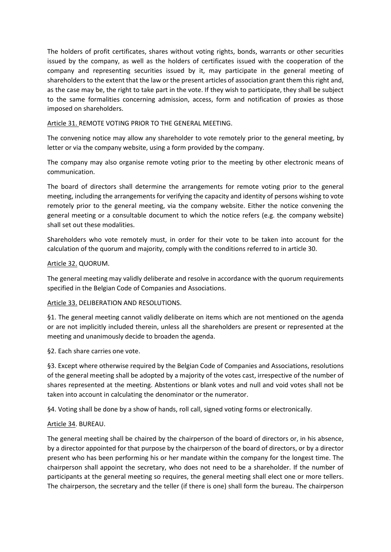The holders of profit certificates, shares without voting rights, bonds, warrants or other securities issued by the company, as well as the holders of certificates issued with the cooperation of the company and representing securities issued by it, may participate in the general meeting of shareholders to the extent that the law or the present articles of association grant them this right and, as the case may be, the right to take part in the vote. If they wish to participate, they shall be subject to the same formalities concerning admission, access, form and notification of proxies as those imposed on shareholders.

Article 31. REMOTE VOTING PRIOR TO THE GENERAL MEETING.

The convening notice may allow any shareholder to vote remotely prior to the general meeting, by letter or via the company website, using a form provided by the company.

The company may also organise remote voting prior to the meeting by other electronic means of communication.

The board of directors shall determine the arrangements for remote voting prior to the general meeting, including the arrangements for verifying the capacity and identity of persons wishing to vote remotely prior to the general meeting, via the company website. Either the notice convening the general meeting or a consultable document to which the notice refers (e.g. the company website) shall set out these modalities.

Shareholders who vote remotely must, in order for their vote to be taken into account for the calculation of the quorum and majority, comply with the conditions referred to in article 30.

# Article 32. QUORUM.

The general meeting may validly deliberate and resolve in accordance with the quorum requirements specified in the Belgian Code of Companies and Associations.

# Article 33. DELIBERATION AND RESOLUTIONS.

§1. The general meeting cannot validly deliberate on items which are not mentioned on the agenda or are not implicitly included therein, unless all the shareholders are present or represented at the meeting and unanimously decide to broaden the agenda.

§2. Each share carries one vote.

§3. Except where otherwise required by the Belgian Code of Companies and Associations, resolutions of the general meeting shall be adopted by a majority of the votes cast, irrespective of the number of shares represented at the meeting. Abstentions or blank votes and null and void votes shall not be taken into account in calculating the denominator or the numerator.

§4. Voting shall be done by a show of hands, roll call, signed voting forms or electronically.

# Article 34. BUREAU.

The general meeting shall be chaired by the chairperson of the board of directors or, in his absence, by a director appointed for that purpose by the chairperson of the board of directors, or by a director present who has been performing his or her mandate within the company for the longest time. The chairperson shall appoint the secretary, who does not need to be a shareholder. If the number of participants at the general meeting so requires, the general meeting shall elect one or more tellers. The chairperson, the secretary and the teller (if there is one) shall form the bureau. The chairperson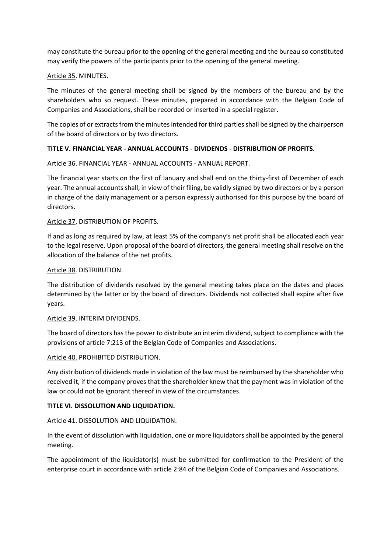may constitute the bureau prior to the opening of the general meeting and the bureau so constituted may verify the powers of the participants prior to the opening of the general meeting.

### Article 35. MINUTES.

The minutes of the general meeting shall be signed by the members of the bureau and by the shareholders who so request. These minutes, prepared in accordance with the Belgian Code of Companies and Associations, shall be recorded or inserted in a special register.

The copies of or extracts from the minutes intended for third parties shall be signed by the chairperson of the board of directors or by two directors.

# **TITLE V. FINANCIAL YEAR - ANNUAL ACCOUNTS - DIVIDENDS - DISTRIBUTION OF PROFITS.**

Article 36. FINANCIAL YEAR - ANNUAL ACCOUNTS - ANNUAL REPORT.

The financial year starts on the first of January and shall end on the thirty-first of December of each year. The annual accounts shall, in view of their filing, be validly signed by two directors or by a person in charge of the daily management or a person expressly authorised for this purpose by the board of directors.

### Article 37. DISTRIBUTION OF PROFITS.

If and as long as required by law, at least 5% of the company's net profit shall be allocated each year to the legal reserve. Upon proposal of the board of directors, the general meeting shall resolve on the allocation of the balance of the net profits.

### Article 38. DISTRIBUTION.

The distribution of dividends resolved by the general meeting takes place on the dates and places determined by the latter or by the board of directors. Dividends not collected shall expire after five years.

### Article 39. INTERIM DIVIDENDS.

The board of directors has the power to distribute an interim dividend, subject to compliance with the provisions of article 7:213 of the Belgian Code of Companies and Associations.

Article 40. PROHIBITED DISTRIBUTION.

Any distribution of dividends made in violation of the law must be reimbursed by the shareholder who received it, if the company proves that the shareholder knew that the payment was in violation of the law or could not be ignorant thereof in view of the circumstances.

### **TITLE VI. DISSOLUTION AND LIQUIDATION.**

Article 41. DISSOLUTION AND LIQUIDATION.

In the event of dissolution with liquidation, one or more liquidators shall be appointed by the general meeting.

The appointment of the liquidator(s) must be submitted for confirmation to the President of the enterprise court in accordance with article 2:84 of the Belgian Code of Companies and Associations.